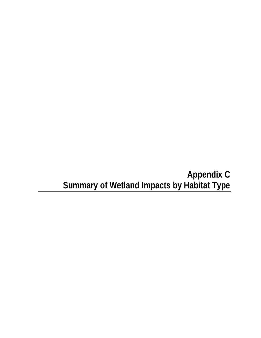# **Appendix C Summary of Wetland Impacts by Habitat Type**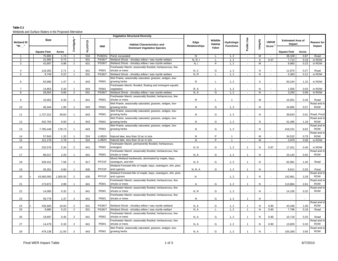# **Table C-1**Wetlands and Surface Waters in the Proposed Alternative

|                             |  | Size               |          |                |                |                             | <b>Vegetative Structural Diversity</b>                             |                       | Wildlife<br>Habitat<br>Value | Hydrologic<br><b>Functions</b> | Public Use               | Integrity    | <b>UMAM</b><br>Score $1$ | <b>Estimated Area of</b><br>Impact |       | Reason for<br>Impact  |
|-----------------------------|--|--------------------|----------|----------------|----------------|-----------------------------|--------------------------------------------------------------------|-----------------------|------------------------------|--------------------------------|--------------------------|--------------|--------------------------|------------------------------------|-------|-----------------------|
| <b>Wetland ID</b><br>"W-__" |  |                    |          | Contiguity     | <b>FLUCFCS</b> | <b>NWI</b>                  | <b>Habitat Characteristics and</b>                                 | Edge<br>Relationships |                              |                                |                          |              |                          |                                    |       |                       |
|                             |  | <b>Square Feet</b> | Acres    |                |                |                             | <b>Dominant Vegetative Species</b>                                 |                       |                              |                                |                          |              |                          | <b>Square Feet</b>                 | Acres |                       |
| $\overline{1}$              |  | 75,805             | 1.74     | $\overline{1}$ | 534            | PUB2Hx                      | Pond, excavated                                                    | N                     | L                            | 1, 2                           | $\sim$                   | M            |                          | 38,109                             | 0.87  | Road                  |
| $\overline{2}$              |  | 31,905             | 0.73     | $\mathbf{1}$   | 631            | <b>PSS6/7</b>               | Wetland Shrub - shrubby willow / wax myrtle wetland                | N, R, I               | L                            | 1, 2                           | $\sim$                   | A            | 0.47                     | 7,713                              | 0.18  | in ROW                |
| 3                           |  | 42,897             | 0.98     | 2              | 631            | <b>PSS6/7</b>               | Wetland Shrub - shrubby willow / wax myrtle wetland                | N, I                  | P                            | 1, 2                           | $\sim$                   | M            | $\overline{\phantom{a}}$ | 9,983                              | 0.23  | in ROW                |
|                             |  |                    |          |                |                |                             | Freshwater Marsh; seasonally flooded, herbacecous, few             |                       |                              |                                |                          |              |                          |                                    |       |                       |
| $\overline{4}$              |  | 118,262            | 2.71     | $\overline{1}$ | 641            | PEM1                        | shrubs or trees                                                    | N, C                  | G                            | 1, 2                           |                          | N            |                          | 11,875                             | 0.27  | Road                  |
| 5                           |  | 9.749              | 0.22     | $\overline{1}$ | 631            | <b>PSS6/7</b>               | Wetland Shrub - shrubby willow / wax myrtle wetland                | N, R                  | L                            | 1, 2                           | $\sim$                   | N            | $\overline{\phantom{a}}$ | 5,363                              | 0.12  | in ROW                |
|                             |  |                    |          |                |                |                             | Wet Prairie, seasonally saturated, grasses, sedges, low-           |                       |                              |                                |                          |              |                          |                                    |       |                       |
| 6                           |  | 63,906             | 1.47     |                | 643            | PEM1                        | growing herbs                                                      | R                     |                              | 1, 2                           |                          | A            |                          | 50,244                             | 1.15  | in ROW                |
|                             |  |                    |          |                |                |                             | Freshwater Marsh; flooded, floating and emergent aquatic           |                       |                              |                                |                          |              |                          |                                    |       |                       |
| $\overline{7}$              |  | 14,853             | 0.34     | $\overline{1}$ | 644            | PEM <sub>1</sub>            | vegetation                                                         | R, A                  | $\mathbf{I}$                 | 1, 2                           | $\sim$                   | N            |                          | 1,505                              | 0.03  | in ROW                |
| 8                           |  | 28,954             | 0.66     | $\overline{2}$ | 631            | <b>PSS6/7</b>               | Wetland Shrub - shrubby willow / wax myrtle wetland                | N, A                  | G                            | 1, 2                           | $\overline{\phantom{a}}$ | N            | $\overline{\phantom{a}}$ | 3,293                              | 0.08  | in ROW                |
|                             |  |                    |          |                |                |                             | Freshwater Marsh; seasonally flooded, herbacecous, few             |                       |                              |                                |                          |              |                          |                                    |       |                       |
| 9                           |  | 15,001             | 0.34     | $\overline{1}$ | 641            | PEM1                        | shrubs or trees                                                    | R                     | L                            | $\overline{1}$                 | $\overline{\phantom{a}}$ | M            |                          | 15,001                             | 0.34  | Road                  |
|                             |  |                    |          |                |                |                             | Wet Prairie, seasonally saturated, grasses, sedges, low-           |                       |                              |                                |                          |              |                          |                                    |       | Road and in           |
| 10                          |  | 46,344             | 1.06     | $\overline{1}$ | 643            | PEM1                        | growing herbs                                                      | N                     | G                            | 1, 2                           | $\overline{\phantom{a}}$ | N            |                          | 24,682                             | 0.57  | <b>ROW</b>            |
|                             |  |                    |          |                |                |                             | Wet Prairie, seasonally saturated, grasses, sedges, low-           |                       |                              |                                |                          |              |                          |                                    |       |                       |
| 11                          |  | 1,727,312          | 39.65    | $\mathbf{1}$   | 643            | PEM1                        | growing herbs                                                      | N                     | G                            | 1, 2                           |                          | N            |                          | 39,643                             | 0.91  | Road, Pond            |
|                             |  |                    |          |                |                |                             | Wet Prairie, seasonally saturated, grasses, sedges, low-           |                       |                              |                                |                          |              |                          |                                    |       | Road and in           |
| 12                          |  | 432,764            | 9.93     |                | 643            | PEM1                        | growing herbs                                                      | N                     | G                            | 1, 2                           |                          | N            |                          | 51,485                             | 1.18  | <b>ROW</b>            |
|                             |  |                    |          |                |                |                             | Wet Prairie, seasonally saturated, grasses, sedges, low-           |                       |                              |                                |                          |              |                          |                                    |       | Road and in           |
| 13                          |  | 7,785,449          | 178.73   | $\overline{1}$ | 643            | PEM1                        | growing herbs                                                      | ${\sf N}$             | G                            | 1, 2                           | $\overline{\phantom{a}}$ | ${\sf N}$    |                          | 419,221                            | 9.62  | <b>ROW</b>            |
|                             |  |                    |          |                |                |                             |                                                                    |                       |                              |                                |                          |              |                          |                                    |       | Road and in           |
| 14                          |  | 57,843             | 1.33     | $\mathbf{1}$   | 524            | LUB2H<br>LUB <sub>2</sub> H | Natural lake, less than 10 ac in size                              | N<br>N                | P<br>$\overline{P}$          | $\overline{1}$                 | $\overline{\phantom{a}}$ | M            |                          | 34,522                             | 0.79  | <b>ROW</b>            |
| 15                          |  | 121,179            | 2.78     | $\overline{1}$ | 524            |                             | Natural lake, less than 10 ac in size                              |                       |                              |                                | $\overline{\phantom{a}}$ | M            | $\overline{\phantom{a}}$ | 3,979                              | 0.09  | in ROW                |
|                             |  |                    |          | 2              | 641            | PEM1                        | Freshwater Marsh; permanently flooded, herbaceous,                 | H, N                  | G                            | 1, 2                           | $\mathbf{1}$             |              |                          |                                    | 0.40  |                       |
| 16                          |  | 232,576            | 5.34     |                |                |                             | emergent<br>Freshwater Marsh; seasonally flooded, herbacecous, few |                       |                              |                                |                          | ${\sf N}$    | 0.87                     | 17,421                             |       | in ROW<br>Road and in |
| 17                          |  | 96,017             | 2.20     |                | 641            | PEM1                        | shrubs or trees                                                    | N, A                  | G                            | 1, 2                           | $\mathbf{1}$             | N            |                          | 24,142                             | 0.55  | <b>ROW</b>            |
|                             |  |                    |          |                |                |                             | Mixed Wetland hardwoods, dominated by maple, bays,                 |                       |                              |                                |                          |              |                          |                                    |       |                       |
| 18                          |  | 329,421            | 7.56     | 2              | 617            | PFO <sub>1</sub> F          | sweetgum, and elm                                                  | N. A                  | G                            | 1, 2                           | $\mathbf{1}$             | N            |                          | 62,981                             | 1.45  | Road                  |
|                             |  |                    |          |                |                |                             | Wetland Forested Mix of maple, bays, sweetgum, elm, pine,          |                       |                              |                                |                          |              |                          |                                    |       |                       |
| 19                          |  | 26,261             | 0.60     |                | 630            | PFO <sub>1</sub> F          | and cypress                                                        | <b>N. R. A</b>        | G                            | 1, 2                           |                          | N            |                          | 8,611                              | 0.20  | Pond                  |
|                             |  |                    |          |                |                |                             | Wetland Forested Mix of maple, bays, sweetgum, elm, pine,          |                       |                              |                                |                          |              |                          |                                    |       | Road and ir           |
| 20                          |  | 43,560,000         | 1,000.00 | $\overline{2}$ | 630            | PFO <sub>1</sub> F          | and cypress                                                        | $\mathsf{N}$          |                              | 1, 2                           | $\mathbf{1}$             | ${\sf N}$    |                          | 142,861                            | 3.28  | <b>ROW</b>            |
|                             |  |                    |          |                |                |                             | Freshwater Marsh; seasonally flooded, herbacecous, few             |                       |                              |                                |                          |              |                          |                                    |       | Road and in           |
| 21                          |  | 173,872            | 3.99     |                | 641            | PEM1                        | shrubs or trees                                                    | Α                     | G                            | 1, 2                           | $\overline{1}$           | N            |                          | 113,864                            | 2.61  | <b>ROW</b>            |
|                             |  |                    |          |                |                |                             | Freshwater Marsh; seasonally flooded, herbacecous, few             |                       |                              |                                |                          |              |                          |                                    |       | Road and in           |
| 22                          |  | 14,000             | 0.32     | $\overline{1}$ | 641            | PEM <sub>1</sub>            | shrubs or trees                                                    | N, R                  | G                            | 1, 2                           | $\overline{\phantom{a}}$ | N            |                          | 14,105                             | 0.32  | <b>ROW</b>            |
|                             |  |                    |          |                |                |                             | Freshwater Marsh; seasonally flooded, herbacecous, few             |                       |                              |                                |                          |              |                          |                                    |       |                       |
| 23                          |  | 59,778             | 1.37     | $\overline{2}$ | 641            | PEM <sub>1</sub>            | shrubs or trees                                                    | N                     | G                            | 1, 2                           |                          | N            |                          |                                    |       |                       |
|                             |  |                    |          |                |                |                             |                                                                    |                       |                              |                                |                          |              |                          |                                    |       | Road and in           |
| 24                          |  | 435,600            | 10.00    | 2              | 631            | <b>PSS6/7</b>               | Wetland Shrub - shrubby willow / wax myrtle wetland                | N, A                  | G                            | 1, 2                           | $\mathbf{1}$             | ${\sf N}$    | 0.90                     | 43,346                             | 1.00  | <b>ROW</b>            |
| 25                          |  | 9,880              | 0.23     | 2              | 631            | <b>PSS6/7</b>               | Wetland Shrub - shrubby willow / wax myrtle wetland                | N, A                  | L                            | 1, 2                           | $\overline{1}$           | N            | 0.90                     | 7,796                              | 0.18  | Road                  |
|                             |  |                    |          |                |                |                             | Freshwater Marsh; seasonally flooded, herbacecous, few             |                       |                              |                                |                          |              |                          |                                    |       |                       |
| 26                          |  | 19,697             | 0.45     | $\overline{2}$ | 641            | PEM1                        | shrubs or trees                                                    | N, A                  | G                            | 1, 2                           | $\mathbf{1}$             | $\mathsf{N}$ | 0.90                     | 10,719                             | 0.25  | Road                  |
|                             |  |                    |          |                |                |                             | Freshwater Marsh; seasonally flooded, herbacecous, few             |                       |                              |                                |                          |              |                          |                                    |       | Road and in           |
| 27                          |  | 14,479             | 0.33     | $\overline{2}$ | 641            | PEM1                        | shrubs or trees                                                    | N, A                  | G                            | 1, 2                           | $\mathbf{1}$             | N            | 0.90                     | 13,820                             | 0.32  | <b>ROW</b>            |
|                             |  |                    |          |                |                |                             | Wet Prairie, seasonally saturated, grasses, sedges, low-           |                       |                              |                                |                          |              |                          |                                    |       | Road and in           |
| 28                          |  | 479.138            | 11.00    | $\mathfrak{p}$ | 643            | PEM1                        | growing herbs                                                      | N.A                   | G                            | 1, 2                           |                          | N            |                          | 155.260                            | 3.56  | <b>ROW</b>            |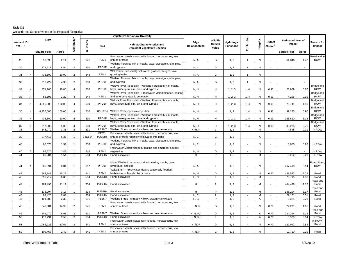# **Table C-1**Wetlands and Surface Waters in the Proposed Alternative

| Public Use<br>Contiguity<br>Size<br>Integrity<br>Wildlife<br><b>Estimated Area of</b><br><b>FLUCFCS</b><br><b>UMAM</b><br><b>Wetland ID</b><br>Hydrologic<br>Edge<br><b>Habitat</b><br>Impact<br><b>Habitat Characteristics and</b><br>Score $1$<br>"W-__"<br><b>Relationships</b><br><b>Functions</b><br><b>NWI</b><br>Value<br><b>Dominant Vegetative Species</b><br><b>Square Feet</b><br>Acres<br>Freshwater Marsh; seasonally flooded, herbacecous, few<br>PEM1<br>G<br>29<br>93,390<br>2.14<br>$\overline{2}$<br>641<br>shrubs or trees<br>N, A<br>1, 2<br>$\mathbf{1}$<br>N<br>61,846<br>Wetland Forested Mix of maple, bays, sweetgum, elm, pine,<br>PFO1F<br>G<br>30<br>372,217<br>8.54<br>$\overline{2}$<br>630<br>and cypress<br>N, A<br>1, 2<br>N<br>$\mathbf{1}$<br>$\overline{\phantom{a}}$<br>Wet Prairie, seasonally saturated, grasses, sedges, low-<br>$\overline{2}$<br>PEM1<br>G<br>31<br>435,600<br>10.00<br>643<br>growing herbs<br>N, A<br>1, 2<br>${\sf N}$<br>$\mathbf{1}$<br>$\overline{a}$<br>Wetland Forested Mix of maple, bays, sweetgum, elm, pine,<br>PFO1F<br>G<br>32<br>216,722<br>4.98<br>$\overline{2}$<br>630<br>and cypress<br>N, A<br>1, 2<br>N<br>$\overline{a}$<br>Wekiva River Floodplain - Wetland Forested Mix of maple,<br>PFO <sub>1</sub> F<br>H<br>33<br>630<br>bays, sweetgum, elm, pine, and cypress<br>N, H<br>1, 2, 3<br>871,200<br>20.00<br>$\overline{4}$<br>1, 4<br>N<br>0.93<br>28.669<br>Wekiva River Floodplain - Freshwater Marsh; flooded, floating<br>1.22<br>PEM1<br>53,196<br>and emergent aquatic vegetation<br>N, H<br>H<br>1, 2, 3<br>4,295<br>33<br>$\overline{4}$<br>644<br>1, 4<br>N<br>0.93<br>Wekiva River Floodplain - Wetland Forested Mix of maple, |                             |                          |
|-------------------------------------------------------------------------------------------------------------------------------------------------------------------------------------------------------------------------------------------------------------------------------------------------------------------------------------------------------------------------------------------------------------------------------------------------------------------------------------------------------------------------------------------------------------------------------------------------------------------------------------------------------------------------------------------------------------------------------------------------------------------------------------------------------------------------------------------------------------------------------------------------------------------------------------------------------------------------------------------------------------------------------------------------------------------------------------------------------------------------------------------------------------------------------------------------------------------------------------------------------------------------------------------------------------------------------------------------------------------------------------------------------------------------------------------------------------------------------------------------------------------------------------------------------------------------------------------------------------------------------------------------------------------------------------------------------------------------------|-----------------------------|--------------------------|
|                                                                                                                                                                                                                                                                                                                                                                                                                                                                                                                                                                                                                                                                                                                                                                                                                                                                                                                                                                                                                                                                                                                                                                                                                                                                                                                                                                                                                                                                                                                                                                                                                                                                                                                               |                             | Reason for<br>Impact     |
|                                                                                                                                                                                                                                                                                                                                                                                                                                                                                                                                                                                                                                                                                                                                                                                                                                                                                                                                                                                                                                                                                                                                                                                                                                                                                                                                                                                                                                                                                                                                                                                                                                                                                                                               | <b>Square Feet</b><br>Acres |                          |
|                                                                                                                                                                                                                                                                                                                                                                                                                                                                                                                                                                                                                                                                                                                                                                                                                                                                                                                                                                                                                                                                                                                                                                                                                                                                                                                                                                                                                                                                                                                                                                                                                                                                                                                               |                             | Road and in              |
|                                                                                                                                                                                                                                                                                                                                                                                                                                                                                                                                                                                                                                                                                                                                                                                                                                                                                                                                                                                                                                                                                                                                                                                                                                                                                                                                                                                                                                                                                                                                                                                                                                                                                                                               | 1.42                        | <b>ROW</b>               |
|                                                                                                                                                                                                                                                                                                                                                                                                                                                                                                                                                                                                                                                                                                                                                                                                                                                                                                                                                                                                                                                                                                                                                                                                                                                                                                                                                                                                                                                                                                                                                                                                                                                                                                                               |                             |                          |
|                                                                                                                                                                                                                                                                                                                                                                                                                                                                                                                                                                                                                                                                                                                                                                                                                                                                                                                                                                                                                                                                                                                                                                                                                                                                                                                                                                                                                                                                                                                                                                                                                                                                                                                               |                             |                          |
|                                                                                                                                                                                                                                                                                                                                                                                                                                                                                                                                                                                                                                                                                                                                                                                                                                                                                                                                                                                                                                                                                                                                                                                                                                                                                                                                                                                                                                                                                                                                                                                                                                                                                                                               |                             |                          |
|                                                                                                                                                                                                                                                                                                                                                                                                                                                                                                                                                                                                                                                                                                                                                                                                                                                                                                                                                                                                                                                                                                                                                                                                                                                                                                                                                                                                                                                                                                                                                                                                                                                                                                                               |                             |                          |
|                                                                                                                                                                                                                                                                                                                                                                                                                                                                                                                                                                                                                                                                                                                                                                                                                                                                                                                                                                                                                                                                                                                                                                                                                                                                                                                                                                                                                                                                                                                                                                                                                                                                                                                               |                             |                          |
|                                                                                                                                                                                                                                                                                                                                                                                                                                                                                                                                                                                                                                                                                                                                                                                                                                                                                                                                                                                                                                                                                                                                                                                                                                                                                                                                                                                                                                                                                                                                                                                                                                                                                                                               |                             | Bridge and               |
|                                                                                                                                                                                                                                                                                                                                                                                                                                                                                                                                                                                                                                                                                                                                                                                                                                                                                                                                                                                                                                                                                                                                                                                                                                                                                                                                                                                                                                                                                                                                                                                                                                                                                                                               | 0.66                        | <b>ROW</b>               |
|                                                                                                                                                                                                                                                                                                                                                                                                                                                                                                                                                                                                                                                                                                                                                                                                                                                                                                                                                                                                                                                                                                                                                                                                                                                                                                                                                                                                                                                                                                                                                                                                                                                                                                                               |                             | Bridge and               |
|                                                                                                                                                                                                                                                                                                                                                                                                                                                                                                                                                                                                                                                                                                                                                                                                                                                                                                                                                                                                                                                                                                                                                                                                                                                                                                                                                                                                                                                                                                                                                                                                                                                                                                                               | 0.10                        | <b>ROW</b>               |
|                                                                                                                                                                                                                                                                                                                                                                                                                                                                                                                                                                                                                                                                                                                                                                                                                                                                                                                                                                                                                                                                                                                                                                                                                                                                                                                                                                                                                                                                                                                                                                                                                                                                                                                               |                             | Bridge and               |
| PFO <sub>1</sub> F<br>H<br>4,356,000<br>630<br>bays, sweetgum, elm, pine, and cypress<br>N, H<br>1, 2, 3<br>78,741<br>34<br>100.00<br>$\overline{4}$<br>1, 4<br>N<br>0.93                                                                                                                                                                                                                                                                                                                                                                                                                                                                                                                                                                                                                                                                                                                                                                                                                                                                                                                                                                                                                                                                                                                                                                                                                                                                                                                                                                                                                                                                                                                                                     | 1.81                        | <b>ROW</b>               |
|                                                                                                                                                                                                                                                                                                                                                                                                                                                                                                                                                                                                                                                                                                                                                                                                                                                                                                                                                                                                                                                                                                                                                                                                                                                                                                                                                                                                                                                                                                                                                                                                                                                                                                                               |                             | Bridge and               |
| H<br>4,356,000<br>100.00<br>R3UB2H<br>Wekiva River, open water portion<br>N, H<br>1, 3<br>39,275<br>35<br>$\overline{4}$<br>510<br>1, 4<br>N<br>0.93                                                                                                                                                                                                                                                                                                                                                                                                                                                                                                                                                                                                                                                                                                                                                                                                                                                                                                                                                                                                                                                                                                                                                                                                                                                                                                                                                                                                                                                                                                                                                                          | 0.90                        | <b>ROW</b>               |
| Wekiva River Floodplain - Wetland Forested Mix of maple,<br>PFO1F<br>H<br>36<br>435,600<br>630<br>N, H<br>1, 2, 3<br>10.00<br>$\overline{4}$<br>1, 4<br>N<br>0.93<br>138,610                                                                                                                                                                                                                                                                                                                                                                                                                                                                                                                                                                                                                                                                                                                                                                                                                                                                                                                                                                                                                                                                                                                                                                                                                                                                                                                                                                                                                                                                                                                                                  | 3.18                        | Bridge and<br><b>ROW</b> |
| bays, sweetgum, elm, pine, and cypress<br>Wekiva River Floodplain - Wetland Forested Mix of maple,                                                                                                                                                                                                                                                                                                                                                                                                                                                                                                                                                                                                                                                                                                                                                                                                                                                                                                                                                                                                                                                                                                                                                                                                                                                                                                                                                                                                                                                                                                                                                                                                                            |                             | Bridge and               |
| PFO1F<br>37<br>5.00<br>630<br>bays, sweetgum, elm, pine, and cypress<br>N, H<br>н<br>1, 2, 3<br>0.93<br>33,235<br>217,800<br>$\overline{4}$<br>1, 4<br>N                                                                                                                                                                                                                                                                                                                                                                                                                                                                                                                                                                                                                                                                                                                                                                                                                                                                                                                                                                                                                                                                                                                                                                                                                                                                                                                                                                                                                                                                                                                                                                      | 0.76                        | <b>ROW</b>               |
| 38<br><b>PSS6/7</b><br>H, R, N<br>$\overline{N}$<br>145,079<br>3.33<br>$\overline{2}$<br>631<br>Wetland Shrub - shrubby willow / wax myrtle wetland<br>1, 2<br>4,845<br>L<br>$\sim$<br>$\sim$                                                                                                                                                                                                                                                                                                                                                                                                                                                                                                                                                                                                                                                                                                                                                                                                                                                                                                                                                                                                                                                                                                                                                                                                                                                                                                                                                                                                                                                                                                                                 | 0.11                        | in ROW                   |
| PEM <sub>1</sub> /<br>Freshwater Marsh; seasonally flooded, herbacecous, few                                                                                                                                                                                                                                                                                                                                                                                                                                                                                                                                                                                                                                                                                                                                                                                                                                                                                                                                                                                                                                                                                                                                                                                                                                                                                                                                                                                                                                                                                                                                                                                                                                                  |                             |                          |
| 39<br>6.37<br>641/534<br>PUB2Hx<br>shrubs or trees / partially excavated into pond<br>N, C<br>G<br>1, 2<br>277,415<br>Α<br>$\overline{\phantom{a}}$<br>$\overline{\phantom{a}}$                                                                                                                                                                                                                                                                                                                                                                                                                                                                                                                                                                                                                                                                                                                                                                                                                                                                                                                                                                                                                                                                                                                                                                                                                                                                                                                                                                                                                                                                                                                                               | $\overline{\phantom{a}}$    |                          |
| Wetland Forested Mix of maple, bays, sweetgum, elm, pine,                                                                                                                                                                                                                                                                                                                                                                                                                                                                                                                                                                                                                                                                                                                                                                                                                                                                                                                                                                                                                                                                                                                                                                                                                                                                                                                                                                                                                                                                                                                                                                                                                                                                     |                             |                          |
| H, R<br>1, 2<br>40<br>86,673<br>1.99<br>630<br>PFO1F<br>N<br>8,880<br>$\overline{1}$<br>and cypress<br>L                                                                                                                                                                                                                                                                                                                                                                                                                                                                                                                                                                                                                                                                                                                                                                                                                                                                                                                                                                                                                                                                                                                                                                                                                                                                                                                                                                                                                                                                                                                                                                                                                      | 0.20                        | in ROW                   |
| Freshwater Marsh; flooded, floating and emergent aquatic<br>PEM <sub>1</sub>                                                                                                                                                                                                                                                                                                                                                                                                                                                                                                                                                                                                                                                                                                                                                                                                                                                                                                                                                                                                                                                                                                                                                                                                                                                                                                                                                                                                                                                                                                                                                                                                                                                  |                             |                          |
| G<br>644<br>40<br>64,520<br>1.48<br>vegetation<br>N, H<br>1, 2<br>N<br>$\mathbf{1}$<br>PUB2Hx<br>9,252<br>41<br>66,984<br>1.54<br>534<br>Pond, excavated<br>$\mathsf{R}$<br>P<br>1, 2<br>M<br>$\mathbf{1}$<br>$\sim$<br>$\overline{\phantom{a}}$                                                                                                                                                                                                                                                                                                                                                                                                                                                                                                                                                                                                                                                                                                                                                                                                                                                                                                                                                                                                                                                                                                                                                                                                                                                                                                                                                                                                                                                                              | 0.21                        | in ROW<br>in ROW         |
|                                                                                                                                                                                                                                                                                                                                                                                                                                                                                                                                                                                                                                                                                                                                                                                                                                                                                                                                                                                                                                                                                                                                                                                                                                                                                                                                                                                                                                                                                                                                                                                                                                                                                                                               |                             |                          |
| Mixed Wetland hardwoods, dominated by maple, bays,                                                                                                                                                                                                                                                                                                                                                                                                                                                                                                                                                                                                                                                                                                                                                                                                                                                                                                                                                                                                                                                                                                                                                                                                                                                                                                                                                                                                                                                                                                                                                                                                                                                                            |                             | Road, Pond,              |
| PFO1F<br>1, 2<br>385,091<br>8.84<br>617<br>sweetgum, and elm<br>R, A<br>${\sf N}$<br>267,418<br>41<br>L<br>$\overline{1}$                                                                                                                                                                                                                                                                                                                                                                                                                                                                                                                                                                                                                                                                                                                                                                                                                                                                                                                                                                                                                                                                                                                                                                                                                                                                                                                                                                                                                                                                                                                                                                                                     | 6.14                        | <b>ROW</b>               |
| "Lake Sten" - Freshwater Marsh; seasonally flooded,                                                                                                                                                                                                                                                                                                                                                                                                                                                                                                                                                                                                                                                                                                                                                                                                                                                                                                                                                                                                                                                                                                                                                                                                                                                                                                                                                                                                                                                                                                                                                                                                                                                                           |                             |                          |
| PEM1<br>G<br>1, 2<br>42<br>15.22<br>641<br>herbacecous, few shrubs or trees<br>H, N<br>488,583<br>662,843<br>N<br>0.60<br>$\overline{1}$<br>$\overline{\phantom{a}}$                                                                                                                                                                                                                                                                                                                                                                                                                                                                                                                                                                                                                                                                                                                                                                                                                                                                                                                                                                                                                                                                                                                                                                                                                                                                                                                                                                                                                                                                                                                                                          | 11.22                       | Road                     |
| PUB2Hx<br>298,717<br>534<br>Pond, excavated<br>H, N<br>1, 2<br>M<br>78,715<br>43<br>6.86<br>$\mathbf{1}$<br>L<br>$\blacksquare$<br>$\overline{\phantom{a}}$                                                                                                                                                                                                                                                                                                                                                                                                                                                                                                                                                                                                                                                                                                                                                                                                                                                                                                                                                                                                                                                                                                                                                                                                                                                                                                                                                                                                                                                                                                                                                                   | 1.81                        | Road                     |
|                                                                                                                                                                                                                                                                                                                                                                                                                                                                                                                                                                                                                                                                                                                                                                                                                                                                                                                                                                                                                                                                                                                                                                                                                                                                                                                                                                                                                                                                                                                                                                                                                                                                                                                               |                             | Road and                 |
| 534<br>PUB2Hx<br>P<br>1, 2<br>484,498<br>44<br>484,498<br>11.12<br>Pond, excavated<br>H<br>M                                                                                                                                                                                                                                                                                                                                                                                                                                                                                                                                                                                                                                                                                                                                                                                                                                                                                                                                                                                                                                                                                                                                                                                                                                                                                                                                                                                                                                                                                                                                                                                                                                  | 11.12                       | Pond<br>Road and         |
| PUB2Hx<br>P<br>138,294<br>3.17<br>534<br>Pond, excavated<br>H<br>1, 2<br>138,294<br>45<br>M<br>$\overline{1}$<br>$\overline{\phantom{a}}$                                                                                                                                                                                                                                                                                                                                                                                                                                                                                                                                                                                                                                                                                                                                                                                                                                                                                                                                                                                                                                                                                                                                                                                                                                                                                                                                                                                                                                                                                                                                                                                     | 3.17                        | Pond                     |
| $\overline{P}$<br>46<br>534<br>PUB2Hx<br>H, C<br>1, 2<br>M<br>22,151<br>88,420<br>2.03<br>$\overline{1}$<br>Pond. excavated<br>$\sim$<br>$\sim$                                                                                                                                                                                                                                                                                                                                                                                                                                                                                                                                                                                                                                                                                                                                                                                                                                                                                                                                                                                                                                                                                                                                                                                                                                                                                                                                                                                                                                                                                                                                                                               | 0.51                        | Road                     |
| 47<br><b>PSS6/7</b><br>$\overline{P}$<br>631<br>Wetland Shrub - shrubby willow / wax myrtle wetland<br>H. C<br>1, 2<br>101,608<br>2.33<br>$\overline{1}$<br>$\overline{A}$<br>9,324<br>$\sim$<br>$\sim$                                                                                                                                                                                                                                                                                                                                                                                                                                                                                                                                                                                                                                                                                                                                                                                                                                                                                                                                                                                                                                                                                                                                                                                                                                                                                                                                                                                                                                                                                                                       | 0.21                        | Road                     |
| Freshwater Marsh; seasonally flooded, herbacecous, few                                                                                                                                                                                                                                                                                                                                                                                                                                                                                                                                                                                                                                                                                                                                                                                                                                                                                                                                                                                                                                                                                                                                                                                                                                                                                                                                                                                                                                                                                                                                                                                                                                                                        |                             |                          |
| PEM1<br>G<br>48<br>648,981<br>14.90<br>$\overline{2}$<br>641<br>shrubs or trees<br>H, N, R<br>1, 2<br>0.70<br>72,291<br>N<br>$\overline{\phantom{a}}$                                                                                                                                                                                                                                                                                                                                                                                                                                                                                                                                                                                                                                                                                                                                                                                                                                                                                                                                                                                                                                                                                                                                                                                                                                                                                                                                                                                                                                                                                                                                                                         | 1.66                        | Road                     |
|                                                                                                                                                                                                                                                                                                                                                                                                                                                                                                                                                                                                                                                                                                                                                                                                                                                                                                                                                                                                                                                                                                                                                                                                                                                                                                                                                                                                                                                                                                                                                                                                                                                                                                                               |                             | Road and                 |
| <b>PSS6/7</b><br>2<br>631<br>Wetland Shrub - shrubby willow / wax myrtle wetland<br>G<br>1, 2<br>49<br>349,070<br>8.01<br>H, N, R, I<br>A<br>0.70<br>224,294<br>$\overline{\phantom{a}}$                                                                                                                                                                                                                                                                                                                                                                                                                                                                                                                                                                                                                                                                                                                                                                                                                                                                                                                                                                                                                                                                                                                                                                                                                                                                                                                                                                                                                                                                                                                                      | 5.15                        | Pond                     |
| 50<br>534<br>PUB2Hx<br>Pond, excavated<br>0.70<br>5,980<br>413,791<br>9.50<br>$\overline{2}$<br>H, N, R, I<br>1, 2<br>A<br>L<br>$\sim$                                                                                                                                                                                                                                                                                                                                                                                                                                                                                                                                                                                                                                                                                                                                                                                                                                                                                                                                                                                                                                                                                                                                                                                                                                                                                                                                                                                                                                                                                                                                                                                        | 0.14                        | in ROW<br>in ROW.        |
| Freshwater Marsh; seasonally flooded, herbacecous, few<br>PEM1<br>51<br>1,462,226<br>33.57<br>2<br>641<br>shrubs or trees<br>H, N, R<br>G<br>1, 2<br>N<br>0.70<br>122,942<br>$\overline{\phantom{a}}$                                                                                                                                                                                                                                                                                                                                                                                                                                                                                                                                                                                                                                                                                                                                                                                                                                                                                                                                                                                                                                                                                                                                                                                                                                                                                                                                                                                                                                                                                                                         | 2.82                        | Pond                     |
| Freshwater Marsh; seasonally flooded, herbacecous, few                                                                                                                                                                                                                                                                                                                                                                                                                                                                                                                                                                                                                                                                                                                                                                                                                                                                                                                                                                                                                                                                                                                                                                                                                                                                                                                                                                                                                                                                                                                                                                                                                                                                        |                             |                          |
| PEM1<br>G<br>52<br>105,468<br>2.42<br>$\overline{2}$<br>641<br>shrubs or trees<br>H, N, R<br>1, 3<br>12,720<br>N                                                                                                                                                                                                                                                                                                                                                                                                                                                                                                                                                                                                                                                                                                                                                                                                                                                                                                                                                                                                                                                                                                                                                                                                                                                                                                                                                                                                                                                                                                                                                                                                              | 0.29                        | Road                     |